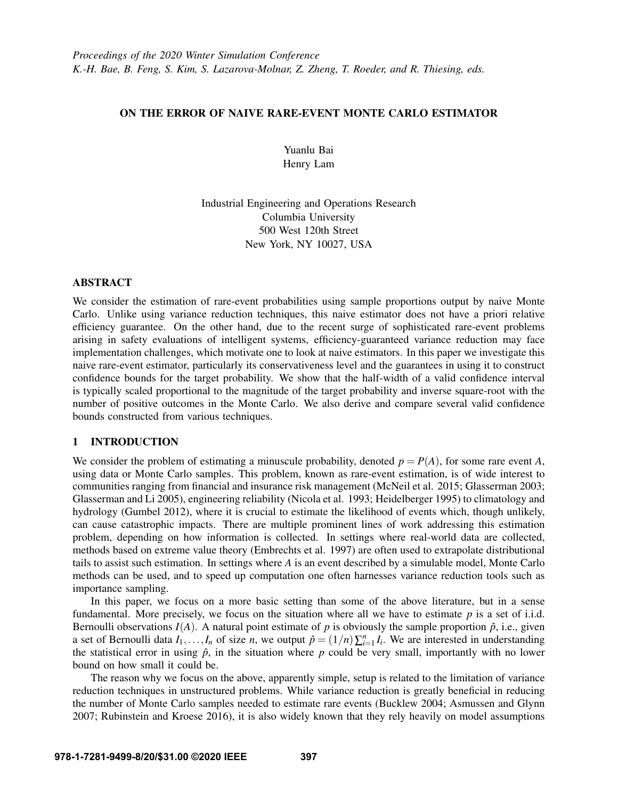## ON THE ERROR OF NAIVE RARE-EVENT MONTE CARLO ESTIMATOR

Yuanlu Bai Henry Lam

Industrial Engineering and Operations Research Columbia University 500 West 120th Street New York, NY 10027, USA

## ABSTRACT

We consider the estimation of rare-event probabilities using sample proportions output by naive Monte Carlo. Unlike using variance reduction techniques, this naive estimator does not have a priori relative efficiency guarantee. On the other hand, due to the recent surge of sophisticated rare-event problems arising in safety evaluations of intelligent systems, efficiency-guaranteed variance reduction may face implementation challenges, which motivate one to look at naive estimators. In this paper we investigate this naive rare-event estimator, particularly its conservativeness level and the guarantees in using it to construct confidence bounds for the target probability. We show that the half-width of a valid confidence interval is typically scaled proportional to the magnitude of the target probability and inverse square-root with the number of positive outcomes in the Monte Carlo. We also derive and compare several valid confidence bounds constructed from various techniques.

## 1 INTRODUCTION

We consider the problem of estimating a minuscule probability, denoted  $p = P(A)$ , for some rare event *A*, using data or Monte Carlo samples. This problem, known as rare-event estimation, is of wide interest to communities ranging from financial and insurance risk management [\(McNeil et al. 2015;](#page-11-0) [Glasserman 2003;](#page-11-1) [Glasserman and Li 2005\)](#page-11-2), engineering reliability [\(Nicola et al. 1993;](#page-11-3) [Heidelberger 1995\)](#page-11-4) to climatology and hydrology [\(Gumbel 2012\)](#page-11-5), where it is crucial to estimate the likelihood of events which, though unlikely, can cause catastrophic impacts. There are multiple prominent lines of work addressing this estimation problem, depending on how information is collected. In settings where real-world data are collected, methods based on extreme value theory [\(Embrechts et al. 1997\)](#page-11-6) are often used to extrapolate distributional tails to assist such estimation. In settings where *A* is an event described by a simulable model, Monte Carlo methods can be used, and to speed up computation one often harnesses variance reduction tools such as importance sampling.

In this paper, we focus on a more basic setting than some of the above literature, but in a sense fundamental. More precisely, we focus on the situation where all we have to estimate *p* is a set of i.i.d. Bernoulli observations  $I(A)$ . A natural point estimate of *p* is obviously the sample proportion  $\hat{p}$ , i.e., given a set of Bernoulli data  $I_1, \ldots, I_n$  of size *n*, we output  $\hat{p} = (1/n) \sum_{i=1}^n I_i$ . We are interested in understanding the statistical error in using  $\hat{p}$ , in the situation where  $p$  could be very small, importantly with no lower bound on how small it could be.

The reason why we focus on the above, apparently simple, setup is related to the limitation of variance reduction techniques in unstructured problems. While variance reduction is greatly beneficial in reducing the number of Monte Carlo samples needed to estimate rare events [\(Bucklew 2004;](#page-11-7) [Asmussen and Glynn](#page-11-8) [2007;](#page-11-8) [Rubinstein and Kroese 2016\)](#page-11-9), it is also widely known that they rely heavily on model assumptions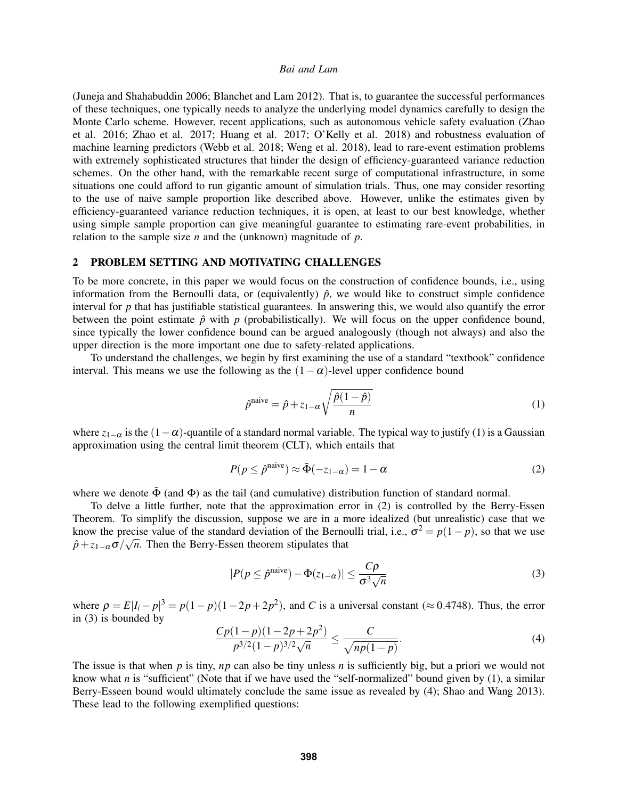[\(Juneja and Shahabuddin 2006;](#page-11-10) [Blanchet and Lam 2012\)](#page-11-11). That is, to guarantee the successful performances of these techniques, one typically needs to analyze the underlying model dynamics carefully to design the Monte Carlo scheme. However, recent applications, such as autonomous vehicle safety evaluation [\(Zhao](#page-11-12) [et al. 2016;](#page-11-12) [Zhao et al. 2017;](#page-11-13) [Huang et al. 2017;](#page-11-14) [O'Kelly et al. 2018\)](#page-11-15) and robustness evaluation of machine learning predictors [\(Webb et al. 2018;](#page-11-16) [Weng et al. 2018\)](#page-11-17), lead to rare-event estimation problems with extremely sophisticated structures that hinder the design of efficiency-guaranteed variance reduction schemes. On the other hand, with the remarkable recent surge of computational infrastructure, in some situations one could afford to run gigantic amount of simulation trials. Thus, one may consider resorting to the use of naive sample proportion like described above. However, unlike the estimates given by efficiency-guaranteed variance reduction techniques, it is open, at least to our best knowledge, whether using simple sample proportion can give meaningful guarantee to estimating rare-event probabilities, in relation to the sample size *n* and the (unknown) magnitude of *p*.

## 2 PROBLEM SETTING AND MOTIVATING CHALLENGES

To be more concrete, in this paper we would focus on the construction of confidence bounds, i.e., using information from the Bernoulli data, or (equivalently)  $\hat{p}$ , we would like to construct simple confidence interval for *p* that has justifiable statistical guarantees. In answering this, we would also quantify the error between the point estimate  $\hat{p}$  with  $p$  (probabilistically). We will focus on the upper confidence bound, since typically the lower confidence bound can be argued analogously (though not always) and also the upper direction is the more important one due to safety-related applications.

To understand the challenges, we begin by first examining the use of a standard "textbook" confidence interval. This means we use the following as the  $(1-\alpha)$ -level upper confidence bound

<span id="page-1-0"></span>
$$
\hat{p}^{\text{naive}} = \hat{p} + z_{1-\alpha} \sqrt{\frac{\hat{p}(1-\hat{p})}{n}}
$$
\n(1)

where  $z_{1-\alpha}$  is the  $(1-\alpha)$ -quantile of a standard normal variable. The typical way to justify [\(1\)](#page-1-0) is a Gaussian approximation using the central limit theorem (CLT), which entails that

<span id="page-1-1"></span>
$$
P(p \le \hat{p}^{\text{naive}}) \approx \bar{\Phi}(-z_{1-\alpha}) = 1 - \alpha \tag{2}
$$

where we denote  $\bar{\Phi}$  (and  $\Phi$ ) as the tail (and cumulative) distribution function of standard normal.

To delve a little further, note that the approximation error in [\(2\)](#page-1-1) is controlled by the Berry-Essen Theorem. To simplify the discussion, suppose we are in a more idealized (but unrealistic) case that we know the precise value of the standard deviation of the Bernoulli trial, i.e.,  $\sigma^2 = p(1-p)$ , so that we use  $\hat{p} + z_{1-\alpha}\sigma/\sqrt{n}$ . Then the Berry-Essen theorem stipulates that

<span id="page-1-2"></span>
$$
|P(p \leq \hat{p}^{\text{naive}}) - \Phi(z_{1-\alpha})| \leq \frac{C\rho}{\sigma^3 \sqrt{n}}
$$
 (3)

where  $\rho = E|I_i - p|^3 = p(1 - p)(1 - 2p + 2p^2)$ , and *C* is a universal constant ( $\approx 0.4748$ ). Thus, the error in [\(3\)](#page-1-2) is bounded by

<span id="page-1-3"></span>
$$
\frac{Cp(1-p)(1-2p+2p^2)}{p^{3/2}(1-p)^{3/2}\sqrt{n}} \le \frac{C}{\sqrt{np(1-p)}}.
$$
\n(4)

The issue is that when *p* is tiny, *np* can also be tiny unless *n* is sufficiently big, but a priori we would not know what *n* is "sufficient" (Note that if we have used the "self-normalized" bound given by [\(1\)](#page-1-0), a similar Berry-Esseen bound would ultimately conclude the same issue as revealed by [\(4\)](#page-1-3); [Shao and Wang 2013\)](#page-11-18). These lead to the following exemplified questions: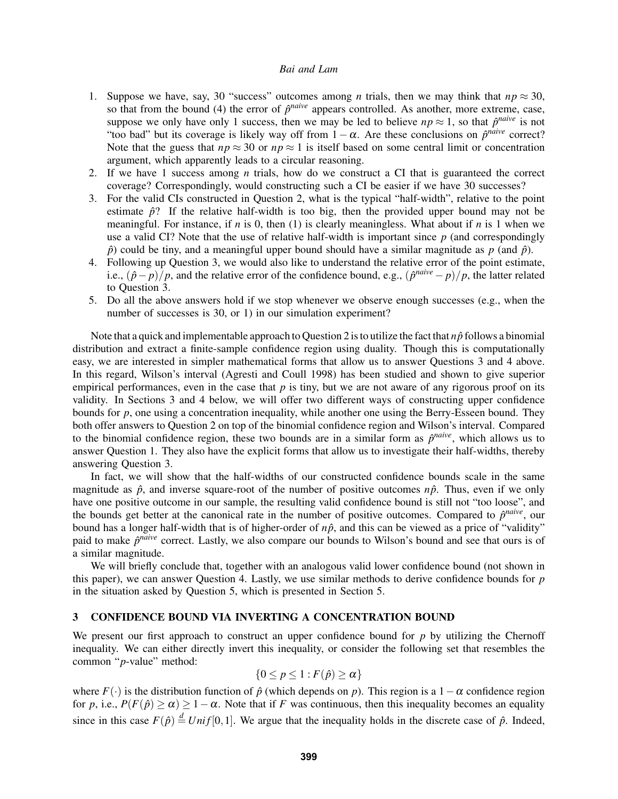- 1. Suppose we have, say, 30 "success" outcomes among *n* trials, then we may think that  $np \approx 30$ , so that from the bound [\(4\)](#page-1-3) the error of  $\hat{p}^{naive}$  appears controlled. As another, more extreme, case, suppose we only have only 1 success, then we may be led to believe  $np \approx 1$ , so that  $\hat{p}^{naive}$  is not "too bad" but its coverage is likely way off from  $1 - \alpha$ . Are these conclusions on  $\hat{p}^{naive}$  correct? Note that the guess that  $np \approx 30$  or  $np \approx 1$  is itself based on some central limit or concentration argument, which apparently leads to a circular reasoning.
- 2. If we have 1 success among *n* trials, how do we construct a CI that is guaranteed the correct coverage? Correspondingly, would constructing such a CI be easier if we have 30 successes?
- 3. For the valid CIs constructed in Question 2, what is the typical "half-width", relative to the point estimate  $\hat{p}$ ? If the relative half-width is too big, then the provided upper bound may not be meaningful. For instance, if *n* is 0, then [\(1\)](#page-1-0) is clearly meaningless. What about if *n* is 1 when we use a valid CI? Note that the use of relative half-width is important since *p* (and correspondingly  $\hat{p}$  could be tiny, and a meaningful upper bound should have a similar magnitude as  $p$  (and  $\hat{p}$ ).
- 4. Following up Question 3, we would also like to understand the relative error of the point estimate, i.e.,  $(\hat{p} - p)/p$ , and the relative error of the confidence bound, e.g.,  $(\hat{p}^{naive} - p)/p$ , the latter related to Question 3.
- 5. Do all the above answers hold if we stop whenever we observe enough successes (e.g., when the number of successes is 30, or 1) in our simulation experiment?

Note that a quick and implementable approach to Question 2 is to utilize the fact that  $n\hat{p}$  follows a binomial distribution and extract a finite-sample confidence region using duality. Though this is computationally easy, we are interested in simpler mathematical forms that allow us to answer Questions 3 and 4 above. In this regard, Wilson's interval [\(Agresti and Coull 1998\)](#page-11-19) has been studied and shown to give superior empirical performances, even in the case that  $p$  is tiny, but we are not aware of any rigorous proof on its validity. In Sections [3](#page-2-0) and [4](#page-4-0) below, we will offer two different ways of constructing upper confidence bounds for *p*, one using a concentration inequality, while another one using the Berry-Esseen bound. They both offer answers to Question 2 on top of the binomial confidence region and Wilson's interval. Compared to the binomial confidence region, these two bounds are in a similar form as  $\hat{p}^{naive}$ , which allows us to answer Question 1. They also have the explicit forms that allow us to investigate their half-widths, thereby answering Question 3.

In fact, we will show that the half-widths of our constructed confidence bounds scale in the same magnitude as  $\hat{p}$ , and inverse square-root of the number of positive outcomes  $n\hat{p}$ . Thus, even if we only have one positive outcome in our sample, the resulting valid confidence bound is still not "too loose", and the bounds get better at the canonical rate in the number of positive outcomes. Compared to  $\hat{p}^{naive}$ , our bound has a longer half-width that is of higher-order of  $n\hat{p}$ , and this can be viewed as a price of "validity" paid to make  $\hat{p}^{naive}$  correct. Lastly, we also compare our bounds to Wilson's bound and see that ours is of a similar magnitude.

We will briefly conclude that, together with an analogous valid lower confidence bound (not shown in this paper), we can answer Question 4. Lastly, we use similar methods to derive confidence bounds for *p* in the situation asked by Question 5, which is presented in Section [5.](#page-8-0)

## <span id="page-2-0"></span>3 CONFIDENCE BOUND VIA INVERTING A CONCENTRATION BOUND

We present our first approach to construct an upper confidence bound for *p* by utilizing the Chernoff inequality. We can either directly invert this inequality, or consider the following set that resembles the common "*p*-value" method:

$$
\{0 \le p \le 1 : F(\hat{p}) \ge \alpha\}
$$

where  $F(\cdot)$  is the distribution function of  $\hat{p}$  (which depends on *p*). This region is a 1 –  $\alpha$  confidence region for *p*, i.e.,  $P(F(\hat{p}) \ge \alpha) \ge 1 - \alpha$ . Note that if *F* was continuous, then this inequality becomes an equality since in this case  $F(\hat{p}) \stackrel{d}{=} Unif[0,1]$ . We argue that the inequality holds in the discrete case of  $\hat{p}$ . Indeed,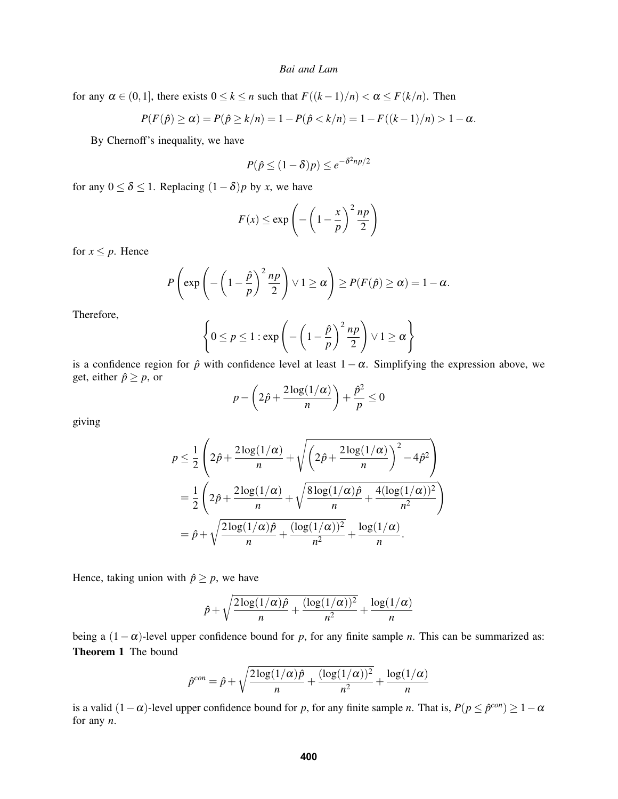for any  $\alpha \in (0,1]$ , there exists  $0 \le k \le n$  such that  $F((k-1)/n) < \alpha \le F(k/n)$ . Then

$$
P(F(\hat{p}) \ge \alpha) = P(\hat{p} \ge k/n) = 1 - P(\hat{p} < k/n) = 1 - F((k-1)/n) > 1 - \alpha.
$$

By Chernoff's inequality, we have

$$
P(\hat{p} \le (1-\delta)p) \le e^{-\delta^2 np/2}
$$

for any  $0 \le \delta \le 1$ . Replacing  $(1 - \delta)p$  by *x*, we have

$$
F(x) \le \exp\left(-\left(1 - \frac{x}{p}\right)^2 \frac{np}{2}\right)
$$

for  $x \leq p$ . Hence

$$
P\left(\exp\left(-\left(1-\frac{\hat{p}}{p}\right)^2\frac{np}{2}\right)\vee 1\geq\alpha\right)\geq P(F(\hat{p})\geq\alpha)=1-\alpha.
$$

Therefore,

$$
\left\{0 \le p \le 1 : \exp\left(-\left(1 - \frac{\hat{p}}{p}\right)^2 \frac{np}{2}\right) \vee 1 \ge \alpha\right\}
$$

is a confidence region for  $\hat{p}$  with confidence level at least  $1-\alpha$ . Simplifying the expression above, we get, either  $\hat{p} \geq p$ , or

$$
p - \left(2\hat{p} + \frac{2\log(1/\alpha)}{n}\right) + \frac{\hat{p}^2}{p} \le 0
$$

giving

$$
p \leq \frac{1}{2} \left( 2\hat{p} + \frac{2\log(1/\alpha)}{n} + \sqrt{\left( 2\hat{p} + \frac{2\log(1/\alpha)}{n} \right)^2 - 4\hat{p}^2} \right)
$$
  
=  $\frac{1}{2} \left( 2\hat{p} + \frac{2\log(1/\alpha)}{n} + \sqrt{\frac{8\log(1/\alpha)\hat{p}}{n} + \frac{4(\log(1/\alpha))^2}{n^2}} \right)$   
=  $\hat{p} + \sqrt{\frac{2\log(1/\alpha)\hat{p}}{n} + \frac{(\log(1/\alpha))^2}{n^2}} + \frac{\log(1/\alpha)}{n}.$ 

Hence, taking union with  $\hat{p} \geq p$ , we have

$$
\hat{p} + \sqrt{\frac{2\log(1/\alpha)\hat{p}}{n} + \frac{(\log(1/\alpha))^2}{n^2}} + \frac{\log(1/\alpha)}{n}
$$

<span id="page-3-0"></span>being a (1−α)-level upper confidence bound for *p*, for any finite sample *n*. This can be summarized as: Theorem 1 The bound

$$
\hat{p}^{con} = \hat{p} + \sqrt{\frac{2\log(1/\alpha)\hat{p}}{n} + \frac{(\log(1/\alpha))^2}{n^2}} + \frac{\log(1/\alpha)}{n}
$$

is a valid  $(1 - \alpha)$ -level upper confidence bound for *p*, for any finite sample *n*. That is,  $P(p \le \hat{p}^{con}) \ge 1 - \alpha$ for any *n*.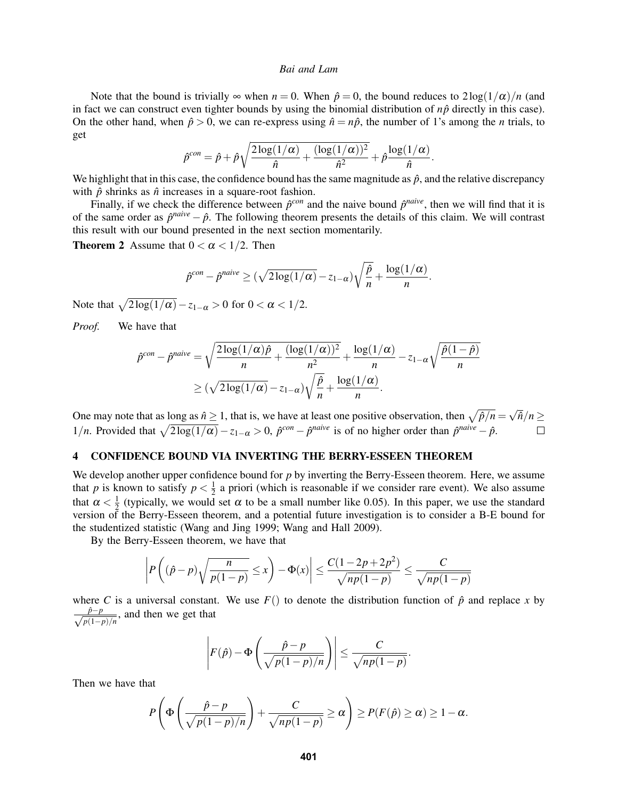Note that the bound is trivially  $\infty$  when  $n = 0$ . When  $\hat{p} = 0$ , the bound reduces to  $2\log(1/\alpha)/n$  (and in fact we can construct even tighter bounds by using the binomial distribution of  $n\hat{p}$  directly in this case). On the other hand, when  $\hat{p} > 0$ , we can re-express using  $\hat{n} = n\hat{p}$ , the number of 1's among the *n* trials, to get

$$
\hat{p}^{con} = \hat{p} + \hat{p}\sqrt{\frac{2\log(1/\alpha)}{\hat{n}} + \frac{(\log(1/\alpha))^2}{\hat{n}^2}} + \hat{p}\frac{\log(1/\alpha)}{\hat{n}}.
$$

We highlight that in this case, the confidence bound has the same magnitude as  $\hat{p}$ , and the relative discrepancy with  $\hat{p}$  shrinks as  $\hat{n}$  increases in a square-root fashion.

Finally, if we check the difference between  $\hat{p}^{con}$  and the naive bound  $\hat{p}^{naive}$ , then we will find that it is of the same order as  $\hat{p}^{naive} - \hat{p}$ . The following theorem presents the details of this claim. We will contrast this result with our bound presented in the next section momentarily.

<span id="page-4-1"></span>**Theorem 2** Assume that  $0 < \alpha < 1/2$ . Then

$$
\hat{p}^{con} - \hat{p}^{naive} \ge (\sqrt{2\log(1/\alpha)} - z_{1-\alpha})\sqrt{\frac{\hat{p}}{n}} + \frac{\log(1/\alpha)}{n}.
$$

Note that  $\sqrt{2\log(1/\alpha)} - z_{1-\alpha} > 0$  for  $0 < \alpha < 1/2$ .

*Proof.* We have that

$$
\hat{p}^{con} - \hat{p}^{naive} = \sqrt{\frac{2\log(1/\alpha)\hat{p}}{n} + \frac{(\log(1/\alpha))^2}{n^2}} + \frac{\log(1/\alpha)}{n} - z_{1-\alpha}\sqrt{\frac{\hat{p}(1-\hat{p})}{n}}
$$

$$
\geq (\sqrt{2\log(1/\alpha)} - z_{1-\alpha})\sqrt{\frac{\hat{p}}{n} + \frac{\log(1/\alpha)}{n}}.
$$

√ One may note that as long as  $\hat{n} \ge 1$ , that is, we have at least one positive observation, then  $\sqrt{\hat{p}/n} =$  $\hat{n}/n \geq$ 1/*n*. Provided that  $\sqrt{2\log(1/\alpha)} - z_{1-\alpha} > 0$ ,  $\hat{p}^{con} - \hat{p}^{naive}$  is of no higher order than  $\hat{p}^{naive} - \hat{p}$ .  $\Box$ 

# <span id="page-4-0"></span>4 CONFIDENCE BOUND VIA INVERTING THE BERRY-ESSEEN THEOREM

We develop another upper confidence bound for *p* by inverting the Berry-Esseen theorem. Here, we assume that *p* is known to satisfy  $p < \frac{1}{2}$  $\frac{1}{2}$  a priori (which is reasonable if we consider rare event). We also assume that  $\alpha < \frac{1}{2}$  $\frac{1}{2}$  (typically, we would set  $\alpha$  to be a small number like 0.05). In this paper, we use the standard version of the Berry-Esseen theorem, and a potential future investigation is to consider a B-E bound for the studentized statistic [\(Wang and Jing 1999;](#page-11-20) [Wang and Hall 2009\)](#page-11-21).

By the Berry-Esseen theorem, we have that

$$
\left| P\left((\hat{p}-p)\sqrt{\frac{n}{p(1-p)}} \leq x\right) - \Phi(x) \right| \leq \frac{C(1-2p+2p^2)}{\sqrt{np(1-p)}} \leq \frac{C}{\sqrt{np(1-p)}}
$$

where *C* is a universal constant. We use  $F()$  to denote the distribution function of  $\hat{p}$  and replace *x* by √ *p*ˆ−*p*  $\frac{p-p}{p(1-p)/n}$ , and then we get that

$$
\left| F(\hat{p}) - \Phi\left(\frac{\hat{p} - p}{\sqrt{p(1-p)/n}} \right) \right| \leq \frac{C}{\sqrt{np(1-p)}}.
$$

Then we have that

$$
P\left(\Phi\left(\frac{\hat{p}-p}{\sqrt{p(1-p)/n}}\right)+\frac{C}{\sqrt{np(1-p)}}\geq \alpha\right)\geq P(F(\hat{p})\geq \alpha)\geq 1-\alpha.
$$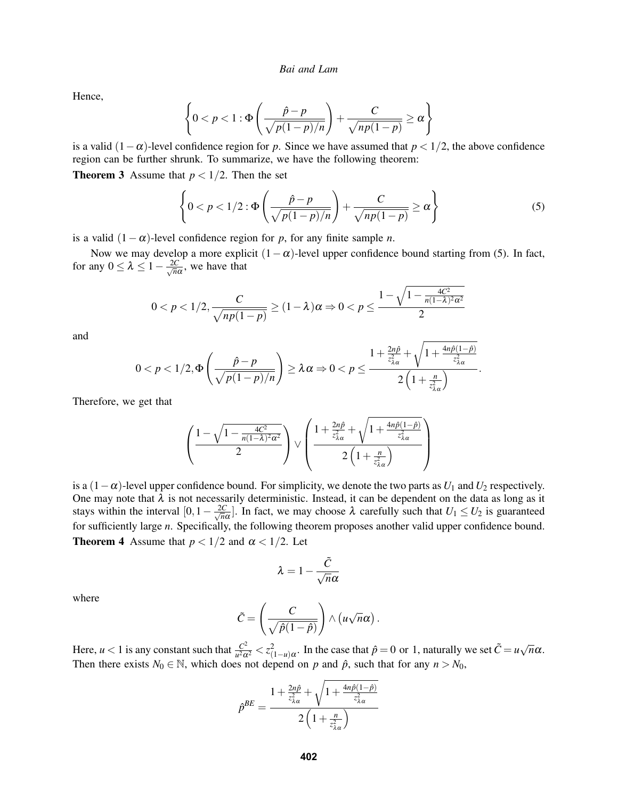Hence,

$$
\left\{0 < p < 1 : \Phi\left(\frac{\hat{p} - p}{\sqrt{p(1-p)/n}}\right) + \frac{C}{\sqrt{np(1-p)}} \ge \alpha\right\}
$$

is a valid  $(1-\alpha)$ -level confidence region for *p*. Since we have assumed that  $p < 1/2$ , the above confidence region can be further shrunk. To summarize, we have the following theorem:

**Theorem 3** Assume that  $p < 1/2$ . Then the set

<span id="page-5-0"></span>
$$
\left\{0 < p < 1/2 : \Phi\left(\frac{\hat{p} - p}{\sqrt{p(1-p)/n}}\right) + \frac{C}{\sqrt{np(1-p)}} \ge \alpha\right\} \tag{5}
$$

is a valid  $(1 - \alpha)$ -level confidence region for *p*, for any finite sample *n*.

Now we may develop a more explicit  $(1-\alpha)$ -level upper confidence bound starting from [\(5\)](#page-5-0). In fact, for any  $0 \leq \lambda \leq 1 - \frac{2C}{\sqrt{n}}$  $\frac{dC}{d\overline{n}\alpha}$ , we have that

$$
0 < p < 1/2, \frac{C}{\sqrt{np(1-p)}} \ge (1-\lambda)\alpha \Rightarrow 0 < p \le \frac{1-\sqrt{1-\frac{4C^2}{n(1-\lambda)^2\alpha^2}}}{2}
$$

and

$$
0
$$

Therefore, we get that

$$
\left(\frac{1-\sqrt{1-\frac{4C^2}{n(1-\lambda)^2\alpha^2}}}{2}\right)\vee\left(\frac{1+\frac{2n\hat{p}}{z_{\lambda\alpha}^2}+\sqrt{1+\frac{4n\hat{p}(1-\hat{p})}{z_{\lambda\alpha}^2}}}{2\left(1+\frac{n}{z_{\lambda\alpha}^2}\right)}\right)
$$

<span id="page-5-1"></span>is a  $(1-\alpha)$ -level upper confidence bound. For simplicity, we denote the two parts as *U*<sub>1</sub> and *U*<sub>2</sub> respectively. One may note that  $\lambda$  is not necessarily deterministic. Instead, it can be dependent on the data as long as it stays within the interval  $[0, 1 - \frac{2C}{\sqrt{n}}]$  $\frac{C}{n\alpha}$ . In fact, we may choose  $\lambda$  carefully such that  $U_1 \le U_2$  is guaranteed for sufficiently large *n*. Specifically, the following theorem proposes another valid upper confidence bound. **Theorem 4** Assume that  $p < 1/2$  and  $\alpha < 1/2$ . Let

$$
\lambda=1-\frac{\tilde{C}}{\sqrt{n}\alpha}
$$

where

$$
\tilde{C} = \left(\frac{C}{\sqrt{\hat{p}(1-\hat{p})}}\right) \wedge \left(u\sqrt{n}\alpha\right).
$$

Here,  $u < 1$  is any constant such that  $\frac{C^2}{u^2\alpha}$  $\frac{C^2}{u^2\alpha^2} < z^2_{(1-u)\alpha}$ . In the case that  $\hat{p} = 0$  or 1, naturally we set  $\tilde{C} = u\sqrt{2\pi}$ *n*α. Then there exists  $N_0 \in \mathbb{N}$ , which does not depend on *p* and  $\hat{p}$ , such that for any  $n > N_0$ ,

$$
\hat{p}^{BE} = \frac{1 + \frac{2n\hat{p}}{z_{\lambda\alpha}^2} + \sqrt{1 + \frac{4n\hat{p}(1-\hat{p})}{z_{\lambda\alpha}^2}}}{2\left(1 + \frac{n}{z_{\lambda\alpha}^2}\right)}
$$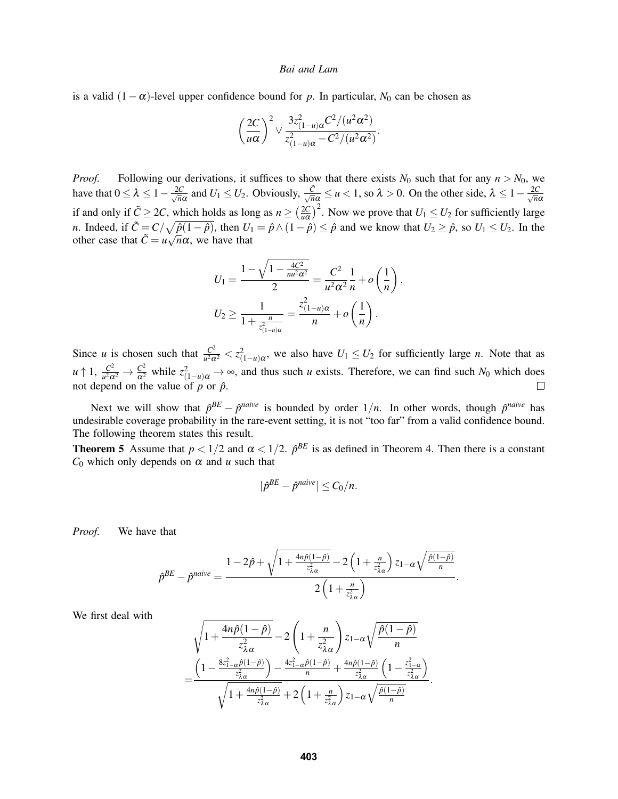is a valid  $(1 - \alpha)$ -level upper confidence bound for *p*. In particular, *N*<sub>0</sub> can be chosen as

$$
\left(\frac{2C}{u\alpha}\right)^2 \vee \frac{3z_{(1-u)\alpha}^2 C^2/(u^2\alpha^2)}{z_{(1-u)\alpha}^2-C^2/(u^2\alpha^2)}.
$$

*Proof.* Following our derivations, it suffices to show that there exists  $N_0$  such that for any  $n > N_0$ , we have that  $0 \leq \lambda \leq 1 - \frac{2C}{\sqrt{n}}$  $\frac{C}{\sqrt{n}}$  and  $U_1 \leq U_2$ . Obviously,  $\frac{\tilde{C}}{\sqrt{n}\alpha} \leq u < 1$ , so  $\lambda > 0$ . On the other side,  $\lambda \leq 1 - \frac{2C}{\sqrt{n}\alpha}$ *n*α if and only if  $\tilde{C} \geq 2C$ , which holds as long as  $n \geq \left(\frac{2C}{nQ}\right)^2$  $\left(\frac{2C}{u\alpha}\right)^2$ . Now we prove that  $U_1 \le U_2$  for sufficiently large *n*. Indeed, if  $\tilde{C} = C/\sqrt{\hat{p}(1-\hat{p})}$ , then  $U_1 = \hat{p} \wedge (1-\hat{p}) \leq \hat{p}$  and we know that  $U_2 \geq \hat{p}$ , so  $U_1 \leq U_2$ . In the other case that  $\tilde{C} = u\sqrt{n}\alpha$ , we have that

$$
U_1 = \frac{1 - \sqrt{1 - \frac{4C^2}{nu^2 \alpha^2}}}{2} = \frac{C^2}{u^2 \alpha^2} \frac{1}{n} + o\left(\frac{1}{n}\right),
$$
  

$$
U_2 \ge \frac{1}{1 + \frac{n}{z_{(1-u)\alpha}^2}} = \frac{z_{(1-u)\alpha}^2}{n} + o\left(\frac{1}{n}\right).
$$

Since *u* is chosen such that  $\frac{C^2}{u^2\alpha}$  $\frac{C^2}{u^2\alpha^2} < z^2_{(1-u)\alpha}$ , we also have  $U_1 \le U_2$  for sufficiently large *n*. Note that as  $u \uparrow 1, \frac{C^2}{u^2 \Omega}$  $\frac{C^2}{u^2\alpha^2} \to \frac{C^2}{\alpha^2}$  while  $z^2_{(1-u)\alpha} \to \infty$ , and thus such *u* exists. Therefore, we can find such  $N_0$  which does not depend on the value of  $p$  or  $\hat{p}$ .

Next we will show that  $\hat{p}^{BE} - \hat{p}^{naive}$  is bounded by order  $1/n$ . In other words, though  $\hat{p}^{naive}$  has undesirable coverage probability in the rare-event setting, it is not "too far" from a valid confidence bound. The following theorem states this result.

<span id="page-6-0"></span>**Theorem 5** Assume that  $p < 1/2$  and  $\alpha < 1/2$ .  $\hat{p}^{BE}$  is as defined in Theorem [4.](#page-5-1) Then there is a constant  $C_0$  which only depends on  $\alpha$  and  $u$  such that

$$
|\hat{p}^{BE} - \hat{p}^{naive}| \leq C_0/n.
$$

*Proof.* We have that

$$
\hat{p}^{BE} - \hat{p}^{naive} = \frac{1 - 2\hat{p} + \sqrt{1 + \frac{4n\hat{p}(1-\hat{p})}{z_{\lambda\alpha}^2} - 2\left(1 + \frac{n}{z_{\lambda\alpha}^2}\right)z_{1-\alpha}\sqrt{\frac{\hat{p}(1-\hat{p})}{n}}}}{2\left(1 + \frac{n}{z_{\lambda\alpha}^2}\right)}.
$$

We first deal with

$$
\sqrt{1+\frac{4n\hat{p}(1-\hat{p})}{z_{\lambda\alpha}^2}}-2\left(1+\frac{n}{z_{\lambda\alpha}^2}\right)z_{1-\alpha}\sqrt{\frac{\hat{p}(1-\hat{p})}{n}}
$$

$$
=\frac{\left(1-\frac{8z_{1-\alpha}^2\hat{p}(1-\hat{p})}{z_{\lambda\alpha}^2}\right)-\frac{4z_{1-\alpha}^2\hat{p}(1-\hat{p})}{n}+\frac{4n\hat{p}(1-\hat{p})}{z_{\lambda\alpha}^2}\left(1-\frac{z_{1-\alpha}^2}{z_{\lambda\alpha}^2}\right)}{\sqrt{1+\frac{4n\hat{p}(1-\hat{p})}{z_{\lambda\alpha}^2}}+2\left(1+\frac{n}{z_{\lambda\alpha}^2}\right)z_{1-\alpha}\sqrt{\frac{\hat{p}(1-\hat{p})}{n}}.
$$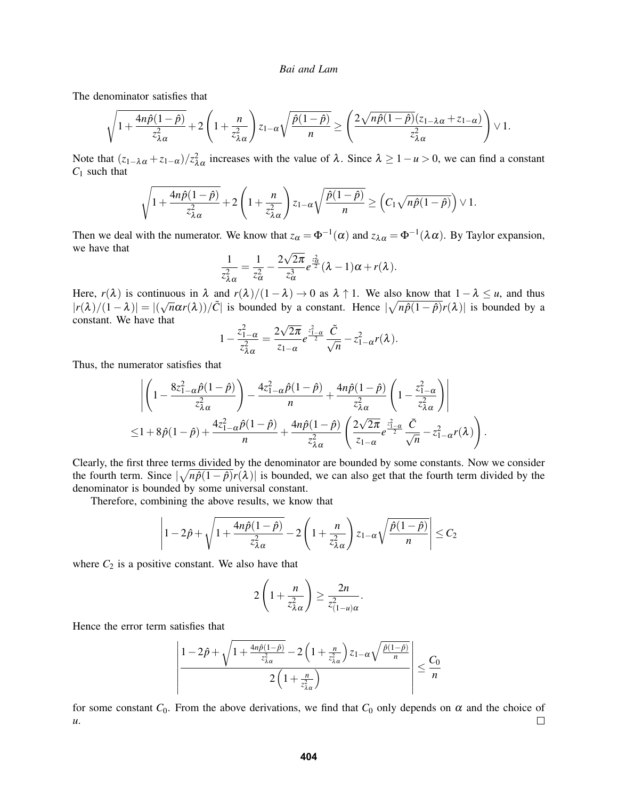The denominator satisfies that

$$
\sqrt{1+\frac{4n\hat{p}(1-\hat{p})}{z_{\lambda\alpha}^2}}+2\left(1+\frac{n}{z_{\lambda\alpha}^2}\right)z_{1-\alpha}\sqrt{\frac{\hat{p}(1-\hat{p})}{n}}\geq \left(\frac{2\sqrt{n\hat{p}(1-\hat{p})}(z_{1-\lambda\alpha}+z_{1-\alpha})}{z_{\lambda\alpha}^2}\right)\vee 1.
$$

Note that  $(z_{1-\lambda\alpha}+z_{1-\alpha})/z_{\lambda\alpha}^2$  increases with the value of  $\lambda$ . Since  $\lambda \ge 1-u > 0$ , we can find a constant *C*<sup>1</sup> such that

$$
\sqrt{1+\frac{4n\hat{p}(1-\hat{p})}{z_{\lambda\alpha}^2}}+2\left(1+\frac{n}{z_{\lambda\alpha}^2}\right)z_{1-\alpha}\sqrt{\frac{\hat{p}(1-\hat{p})}{n}}\geq \left(C_1\sqrt{n\hat{p}(1-\hat{p})}\right)\vee 1.
$$

Then we deal with the numerator. We know that  $z_\alpha = \Phi^{-1}(\alpha)$  and  $z_{\lambda \alpha} = \Phi^{-1}(\lambda \alpha)$ . By Taylor expansion, we have that √

$$
\frac{1}{z_{\lambda\alpha}^2} = \frac{1}{z_{\alpha}^2} - \frac{2\sqrt{2\pi}}{z_{\alpha}^3} e^{\frac{z_{\alpha}^2}{2}} (\lambda - 1)\alpha + r(\lambda).
$$

Here,  $r(\lambda)$  is continuous in  $\lambda$  and  $r(\lambda)/(1 - \lambda) \to 0$  as  $\lambda \uparrow 1$ . We also know that  $1 - \lambda \leq u$ , and thus  $|r(\lambda)/(1 - \lambda)| = |(\sqrt{n}\alpha r(\lambda))/\tilde{C}|$  is bounded by a constant. Hence  $|\sqrt{n\hat{p}(1-\hat{p})}r(\lambda)|$  is bounded by a constant. constant. We have that √

$$
1-\frac{z_{1-\alpha}^2}{z_{\lambda\alpha}^2}=\frac{2\sqrt{2\pi}}{z_{1-\alpha}}e^{\frac{z_{1-\alpha}^2}{2}}\frac{\tilde{C}}{\sqrt{n}}-z_{1-\alpha}^2r(\lambda).
$$

Thus, the numerator satisfies that

$$
\left| \left( 1 - \frac{8z_{1-\alpha}^2 \hat{p}(1-\hat{p})}{z_{\lambda\alpha}^2} \right) - \frac{4z_{1-\alpha}^2 \hat{p}(1-\hat{p})}{n} + \frac{4n\hat{p}(1-\hat{p})}{z_{\lambda\alpha}^2} \left( 1 - \frac{z_{1-\alpha}^2}{z_{\lambda\alpha}^2} \right) \right|
$$
  
\n
$$
\leq 1 + 8\hat{p}(1-\hat{p}) + \frac{4z_{1-\alpha}^2 \hat{p}(1-\hat{p})}{n} + \frac{4n\hat{p}(1-\hat{p})}{z_{\lambda\alpha}^2} \left( \frac{2\sqrt{2\pi}}{z_{1-\alpha}} e^{\frac{z_{1-\alpha}^2}{2}} \frac{\tilde{C}}{\sqrt{n}} - z_{1-\alpha}^2 r(\lambda) \right).
$$

Clearly, the first three terms divided by the denominator are bounded by some constants. Now we consider the fourth term. Since  $\left|\sqrt{n\hat{p}(1-\hat{p})}r(\lambda)\right|$  is bounded, we can also get that the fourth term divided by the denominator is bounded by some universal constant.

Therefore, combining the above results, we know that

$$
\left|1-2\hat{p}+\sqrt{1+\frac{4n\hat{p}(1-\hat{p})}{z_{\lambda\alpha}^2}}-2\left(1+\frac{n}{z_{\lambda\alpha}^2}\right)z_{1-\alpha}\sqrt{\frac{\hat{p}(1-\hat{p})}{n}}\right|\leq C_2
$$

where  $C_2$  is a positive constant. We also have that

$$
2\left(1+\frac{n}{z_{\lambda\alpha}^2}\right) \geq \frac{2n}{z_{(1-u)\alpha}^2}.
$$

Hence the error term satisfies that

$$
\left| \frac{1 - 2\hat{p} + \sqrt{1 + \frac{4n\hat{p}(1-\hat{p})}{z_{\lambda\alpha}^2} - 2\left(1 + \frac{n}{z_{\lambda\alpha}^2}\right)z_{1-\alpha}\sqrt{\frac{\hat{p}(1-\hat{p})}{n}}}}{2\left(1 + \frac{n}{z_{\lambda\alpha}^2}\right)} \right| \leq \frac{C_0}{n}
$$

for some constant  $C_0$ . From the above derivations, we find that  $C_0$  only depends on  $\alpha$  and the choice of *u*.  $\Box$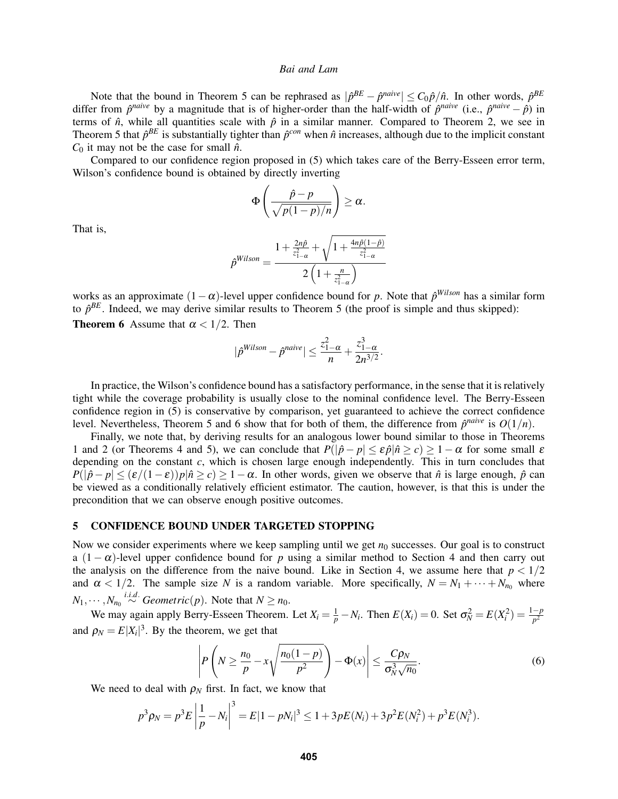Note that the bound in Theorem [5](#page-6-0) can be rephrased as  $|\hat{p}^{BE} - \hat{p}^{naive}| \leq C_0 \hat{p}/\hat{n}$ . In other words,  $\hat{p}^{BE}$ differ from  $\hat{p}^{naive}$  by a magnitude that is of higher-order than the half-width of  $\hat{p}^{naive}$  (i.e.,  $\hat{p}^{naive} - \hat{p}$ ) in terms of  $\hat{n}$ , while all quantities scale with  $\hat{p}$  in a similar manner. Compared to Theorem [2,](#page-4-1) we see in Theorem [5](#page-6-0) that  $\hat{p}^{BE}$  is substantially tighter than  $\hat{p}^{con}$  when  $\hat{n}$  increases, although due to the implicit constant  $C_0$  it may not be the case for small  $\hat{n}$ .

Compared to our confidence region proposed in [\(5\)](#page-5-0) which takes care of the Berry-Esseen error term, Wilson's confidence bound is obtained by directly inverting

$$
\Phi\left(\frac{\hat{p}-p}{\sqrt{p(1-p)/n}}\right)\geq\alpha.
$$

That is,

$$
\hat{p}^{Wilson} = \frac{1 + \frac{2n\hat{p}}{z_{1-\alpha}^2} + \sqrt{1 + \frac{4n\hat{p}(1-\hat{p})}{z_{1-\alpha}^2}}}{2\left(1 + \frac{n}{z_{1-\alpha}^2}\right)}
$$

works as an approximate  $(1 - \alpha)$ -level upper confidence bound for *p*. Note that  $\hat{p}^{Wilson}$  has a similar form to  $\hat{p}^{BE}$ . Indeed, we may derive similar results to Theorem [5](#page-6-0) (the proof is simple and thus skipped):

<span id="page-8-1"></span>**Theorem 6** Assume that  $\alpha < 1/2$ . Then

$$
|\hat{p}^{Wilson} - \hat{p}^{naive}| \le \frac{z_{1-\alpha}^2}{n} + \frac{z_{1-\alpha}^3}{2n^{3/2}}.
$$

In practice, the Wilson's confidence bound has a satisfactory performance, in the sense that it is relatively tight while the coverage probability is usually close to the nominal confidence level. The Berry-Esseen confidence region in [\(5\)](#page-5-0) is conservative by comparison, yet guaranteed to achieve the correct confidence level. Nevertheless, Theorem [5](#page-6-0) and [6](#page-8-1) show that for both of them, the difference from  $\hat{p}^{naive}$  is  $O(1/n)$ .

Finally, we note that, by deriving results for an analogous lower bound similar to those in Theorems [1](#page-3-0) and [2](#page-4-1) (or Theorems [4](#page-5-1) and [5\)](#page-6-0), we can conclude that  $P(|\hat{p} - p| \le \varepsilon \hat{p}|\hat{n} \ge c) \ge 1 - \alpha$  for some small  $\varepsilon$ depending on the constant  $c$ , which is chosen large enough independently. This in turn concludes that  $P(|\hat{p} - p| \leq (\varepsilon/(1-\varepsilon))p|\hat{n} \geq c$ )  $\geq 1-\alpha$ . In other words, given we observe that  $\hat{n}$  is large enough,  $\hat{p}$  can be viewed as a conditionally relatively efficient estimator. The caution, however, is that this is under the precondition that we can observe enough positive outcomes.

#### <span id="page-8-0"></span>5 CONFIDENCE BOUND UNDER TARGETED STOPPING

Now we consider experiments where we keep sampling until we get  $n_0$  successes. Our goal is to construct a  $(1 - \alpha)$ -level upper confidence bound for *p* using a similar method to Section [4](#page-4-0) and then carry out the analysis on the difference from the naive bound. Like in Section [4,](#page-4-0) we assume here that  $p < 1/2$ and  $\alpha < 1/2$ . The sample size *N* is a random variable. More specifically,  $N = N_1 + \cdots + N_{n_0}$  where  $N_1, \cdots, N_{n_0} \stackrel{i.i.d.}{\sim} Geometric(p)$ . Note that  $N \ge n_0$ .

We may again apply Berry-Esseen Theorem. Let  $X_i = \frac{1}{p} - N_i$ . Then  $E(X_i) = 0$ . Set  $\sigma_N^2 = E(X_i^2) = \frac{1-p}{p^2}$ and  $\rho_N = E|X_i|^3$ . By the theorem, we get that

<span id="page-8-2"></span>
$$
\left| P\left(N \geq \frac{n_0}{p} - x\sqrt{\frac{n_0(1-p)}{p^2}}\right) - \Phi(x) \right| \leq \frac{C\rho_N}{\sigma_N^3 \sqrt{n_0}}.
$$
\n<sup>(6)</sup>

We need to deal with  $\rho_N$  first. In fact, we know that

$$
p^{3} \rho_{N} = p^{3} E \left| \frac{1}{p} - N_{i} \right|^{3} = E |1 - pN_{i}|^{3} \leq 1 + 3 p E(N_{i}) + 3 p^{2} E(N_{i}^{2}) + p^{3} E(N_{i}^{3}).
$$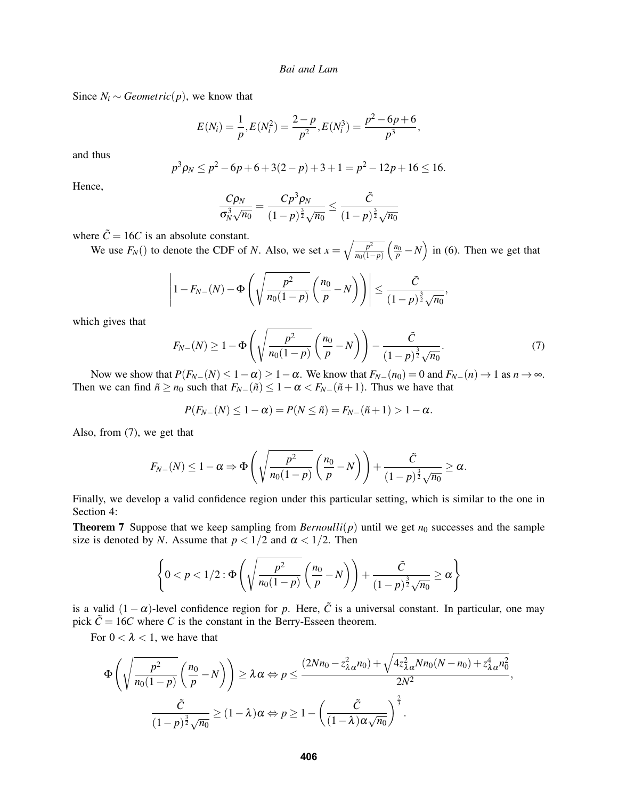Since  $N_i$  ∼ *Geometric*(*p*), we know that

$$
E(N_i) = \frac{1}{p}, E(N_i^2) = \frac{2-p}{p^2}, E(N_i^3) = \frac{p^2 - 6p + 6}{p^3},
$$

and thus

$$
p^3 \rho_N \le p^2 - 6p + 6 + 3(2 - p) + 3 + 1 = p^2 - 12p + 16 \le 16.
$$

Hence,

$$
\frac{C\rho_N}{\sigma_N^3\sqrt{n_0}} = \frac{Cp^3\rho_N}{(1-p)^{\frac{3}{2}}\sqrt{n_0}} \le \frac{\tilde{C}}{(1-p)^{\frac{3}{2}}\sqrt{n_0}}
$$

where  $\tilde{C} = 16C$  is an absolute constant.

We use  $F_N()$  to denote the CDF of *N*. Also, we set  $x = \sqrt{\frac{p^2}{n_0(1-p)}}$  $\overline{n_0(1-p)}$  $\left(\frac{n_0}{p} - N\right)$  in [\(6\)](#page-8-2). Then we get that

$$
\left|1 - F_{N-}(N) - \Phi\left(\sqrt{\frac{p^2}{n_0(1-p)}} \left(\frac{n_0}{p} - N\right)\right)\right| \leq \frac{\tilde{C}}{(1-p)^{\frac{3}{2}}\sqrt{n_0}},
$$

which gives that

<span id="page-9-0"></span>
$$
F_{N-}(N) \ge 1 - \Phi\left(\sqrt{\frac{p^2}{n_0(1-p)}} \left(\frac{n_0}{p} - N\right)\right) - \frac{\tilde{C}}{(1-p)^{\frac{3}{2}}\sqrt{n_0}}.\tag{7}
$$

Now we show that  $P(F_{N-}(N) \leq 1 - \alpha) \geq 1 - \alpha$ . We know that  $F_{N-}(n_0) = 0$  and  $F_{N-}(n) \to 1$  as  $n \to \infty$ . Then we can find  $\tilde{n} \ge n_0$  such that  $F_{N-}(\tilde{n}) \le 1 - \alpha < F_{N-}(\tilde{n}+1)$ . Thus we have that

$$
P(F_{N-}(N) \leq 1-\alpha) = P(N \leq \tilde{n}) = F_{N-}(\tilde{n}+1) > 1-\alpha.
$$

Also, from [\(7\)](#page-9-0), we get that

$$
F_{N-}(N) \leq 1-\alpha \Rightarrow \Phi\left(\sqrt{\frac{p^2}{n_0(1-p)}} \left(\frac{n_0}{p}-N\right)\right)+\frac{\tilde{C}}{(1-p)^{\frac{3}{2}}\sqrt{n_0}} \geq \alpha.
$$

Finally, we develop a valid confidence region under this particular setting, which is similar to the one in Section [4:](#page-4-0)

**Theorem 7** Suppose that we keep sampling from *Bernoulli*( $p$ ) until we get  $n_0$  successes and the sample size is denoted by *N*. Assume that  $p < 1/2$  and  $\alpha < 1/2$ . Then

$$
\left\{0 < p < 1/2 : \Phi\left(\sqrt{\frac{p^2}{n_0(1-p)}} \left(\frac{n_0}{p} - N\right)\right) + \frac{\tilde{C}}{(1-p)^{\frac{3}{2}}\sqrt{n_0}} \ge \alpha\right\}
$$

is a valid  $(1-\alpha)$ -level confidence region for *p*. Here,  $\tilde{C}$  is a universal constant. In particular, one may pick  $\tilde{C} = 16C$  where *C* is the constant in the Berry-Esseen theorem.

For  $0 < \lambda < 1$ , we have that

$$
\Phi\left(\sqrt{\frac{p^2}{n_0(1-p)}}\left(\frac{n_0}{p}-N\right)\right) \ge \lambda \alpha \Leftrightarrow p \le \frac{(2Nn_0 - z_{\lambda\alpha}^2 n_0) + \sqrt{4z_{\lambda\alpha}^2 Nn_0(N-n_0) + z_{\lambda\alpha}^4 n_0^2}}{2N^2},
$$
  

$$
\frac{\tilde{C}}{(1-p)^{\frac{3}{2}}\sqrt{n_0}} \ge (1-\lambda)\alpha \Leftrightarrow p \ge 1 - \left(\frac{\tilde{C}}{(1-\lambda)\alpha\sqrt{n_0}}\right)^{\frac{2}{3}}.
$$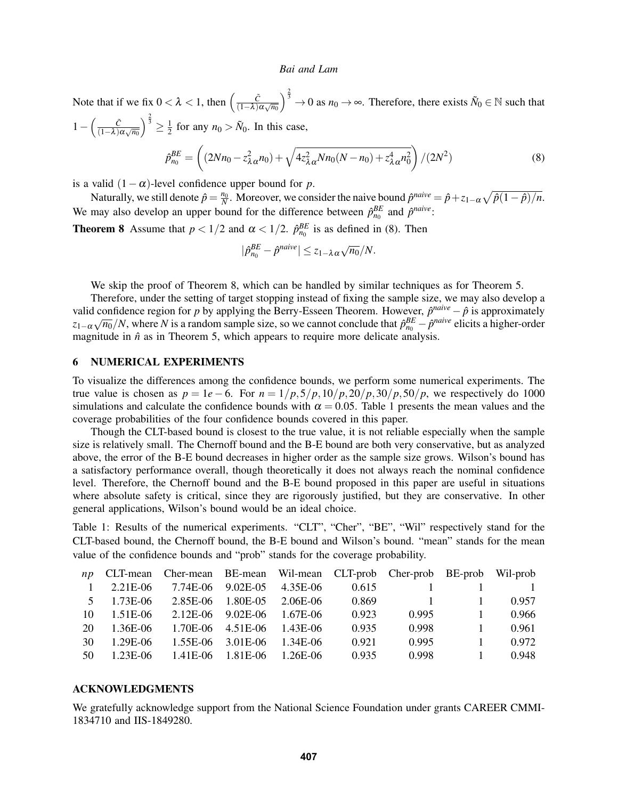Note that if we fix  $0 < \lambda < 1$ , then  $\left(\frac{\tilde{C}}{(1-\lambda)}\right)$  $\frac{C}{(1-\lambda)\alpha\sqrt{n_0}}$  $\bigg\}^{\frac{2}{3}} \to 0$  as  $n_0 \to \infty$ . Therefore, there exists  $\tilde{N}_0 \in \mathbb{N}$  such that  $1-\left(\frac{\tilde{C}}{(1-\lambda)}\right)$  $\frac{C}{(1-\lambda)\alpha\sqrt{n_0}}$  $\big)^{\frac{2}{3}} \geq \frac{1}{2}$  $\frac{1}{2}$  for any  $n_0 > \tilde{N}_0$ . In this case,  $\sqrt{ }$ ).

<span id="page-10-0"></span>
$$
\hat{p}_{n_0}^{BE} = \left( (2Nn_0 - z_{\lambda \alpha}^2 n_0) + \sqrt{4z_{\lambda \alpha}^2 Nn_0(N - n_0) + z_{\lambda \alpha}^4 n_0^2} \right) / (2N^2)
$$
\n(8)

is a valid  $(1-\alpha)$ -level confidence upper bound for *p*.

Naturally, we still denote  $\hat{p} = \frac{n_0}{N}$ . Moreover, we consider the naive bound  $\hat{p}^{naive} = \hat{p} + z_{1-\alpha}\sqrt{\hat{p}(1-\hat{p})/n}$ . We may also develop an upper bound for the difference between  $\hat{p}_{n_0}^{BE}$  and  $\hat{p}^{naive}$ :

<span id="page-10-1"></span>**Theorem 8** Assume that  $p < 1/2$  and  $\alpha < 1/2$ .  $\hat{p}_{n_0}^{BE}$  is as defined in [\(8\)](#page-10-0). Then

$$
|\hat{p}_{n_0}^{BE} - \hat{p}^{naive}| \leq z_{1-\lambda\alpha}\sqrt{n_0}/N.
$$

We skip the proof of Theorem [8,](#page-10-1) which can be handled by similar techniques as for Theorem [5.](#page-6-0)

Therefore, under the setting of target stopping instead of fixing the sample size, we may also develop a valid confidence region for *p* by applying the Berry-Esseen Theorem. However,  $\hat{p}^{naive} - \hat{p}$  is approximately  $z_{1-\alpha}\sqrt{n_0}/N$ , where *N* is a random sample size, so we cannot conclude that  $\hat{p}_{n_0}^{BE} - \hat{p}^{naive}$  elicits a higher-order magnitude in  $\hat{n}$  as in Theorem [5,](#page-6-0) which appears to require more delicate analysis.

## 6 NUMERICAL EXPERIMENTS

To visualize the differences among the confidence bounds, we perform some numerical experiments. The true value is chosen as  $p = 1e - 6$ . For  $n = 1/p$ ,  $5/p$ ,  $10/p$ ,  $20/p$ ,  $30/p$ ,  $50/p$ , we respectively do 1000 simulations and calculate the confidence bounds with  $\alpha = 0.05$ . Table [1](#page-10-2) presents the mean values and the coverage probabilities of the four confidence bounds covered in this paper.

Though the CLT-based bound is closest to the true value, it is not reliable especially when the sample size is relatively small. The Chernoff bound and the B-E bound are both very conservative, but as analyzed above, the error of the B-E bound decreases in higher order as the sample size grows. Wilson's bound has a satisfactory performance overall, though theoretically it does not always reach the nominal confidence level. Therefore, the Chernoff bound and the B-E bound proposed in this paper are useful in situations where absolute safety is critical, since they are rigorously justified, but they are conservative. In other general applications, Wilson's bound would be an ideal choice.

<span id="page-10-2"></span>Table 1: Results of the numerical experiments. "CLT", "Cher", "BE", "Wil" respectively stand for the CLT-based bound, the Chernoff bound, the B-E bound and Wilson's bound. "mean" stands for the mean value of the confidence bounds and "prob" stands for the coverage probability.

|    | np CLT-mean Cher-mean BE-mean Wil-mean CLT-prob Cher-prob BE-prob Wil-prob |  |       |                |                |       |
|----|----------------------------------------------------------------------------|--|-------|----------------|----------------|-------|
|    | 1 2.21E-06 7.74E-06 9.02E-05 4.35E-06                                      |  | 0.615 |                |                |       |
|    | 5 1.73E-06 2.85E-06 1.80E-05 2.06E-06                                      |  | 0.869 | $\overline{1}$ | $\sim$ 1       | 0.957 |
| 10 | $1.51E-06$ $2.12E-06$ $9.02E-06$ $1.67E-06$                                |  | 0.923 | 0.995          | $-1$           | 0.966 |
| 20 | 1.36E-06 1.70E-06 4.51E-06 1.43E-06                                        |  | 0.935 | 0.998          | $\blacksquare$ | 0.961 |
| 30 | $1.29E-06$ $1.55E-06$ $3.01E-06$ $1.34E-06$                                |  | 0.921 | 0.995          | $\sim$ 1       | 0.972 |
| 50 | 1.23E-06 1.41E-06 1.81E-06 1.26E-06                                        |  | 0.935 | 0.998          | $\sim$ 1       | 0.948 |

## ACKNOWLEDGMENTS

We gratefully acknowledge support from the National Science Foundation under grants CAREER CMMI-1834710 and IIS-1849280.